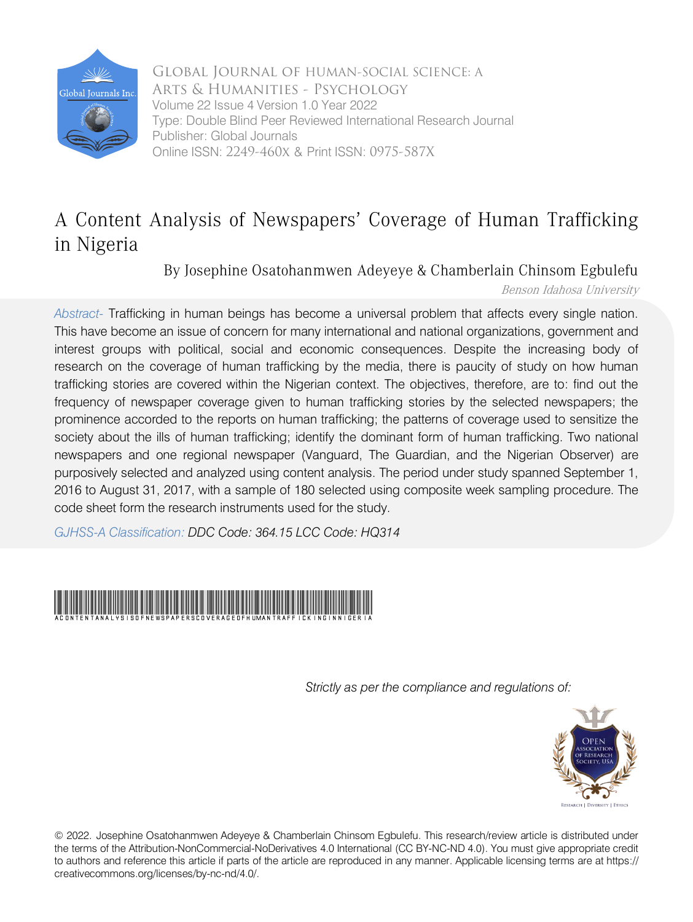

 Online ISSN: 2249-460x & Print ISSN: 0975-587X Arts & Humanities - Psychology Global Journal of HUMAN-SOCIAL SCIENCE: A Volume 22 Issue 4 Version 1.0 Year 2022 Type: Double Blind Peer Reviewed International Research Journal Publisher: Global Journals

# A Content Analysis of Newspapers' Coverage of Human Trafficking in Nigeria

By Josephine Osatohanmwen Adeyeye & Chamberlain Chinsom Egbulefu

Benson Idahosa University

*Abstract-* Trafficking in human beings has become a universal problem that affects every single nation. This have become an issue of concern for many international and national organizations, government and interest groups with political, social and economic consequences. Despite the increasing body of research on the coverage of human trafficking by the media, there is paucity of study on how human trafficking stories are covered within the Nigerian context. The objectives, therefore, are to: find out the frequency of newspaper coverage given to human trafficking stories by the selected newspapers; the prominence accorded to the reports on human trafficking; the patterns of coverage used to sensitize the society about the ills of human trafficking; identify the dominant form of human trafficking. Two national newspapers and one regional newspaper (Vanguard, The Guardian, and the Nigerian Observer) are purposively selected and analyzed using content analysis. The period under study spanned September 1, 2016 to August 31, 2017, with a sample of 180 selected using composite week sampling procedure. The code sheet form the research instruments used for the study.

*GJHSS-A Classification: DDC Code: 364.15 LCC Code: HQ314*



*Strictly as per the compliance and regulations of:*



© 2022. Josephine Osatohanmwen Adeyeye & Chamberlain Chinsom Egbulefu. This research/review article is distributed under the terms of the Attribution-NonCommercial-NoDerivatives 4.0 International (CC BY-NC-ND 4.0). You must give appropriate credit to authors and reference this article if parts of the article are reproduced in any manner. Applicable licensing terms are at https:// creativecommons.org/licenses/by-nc-nd/4.0/.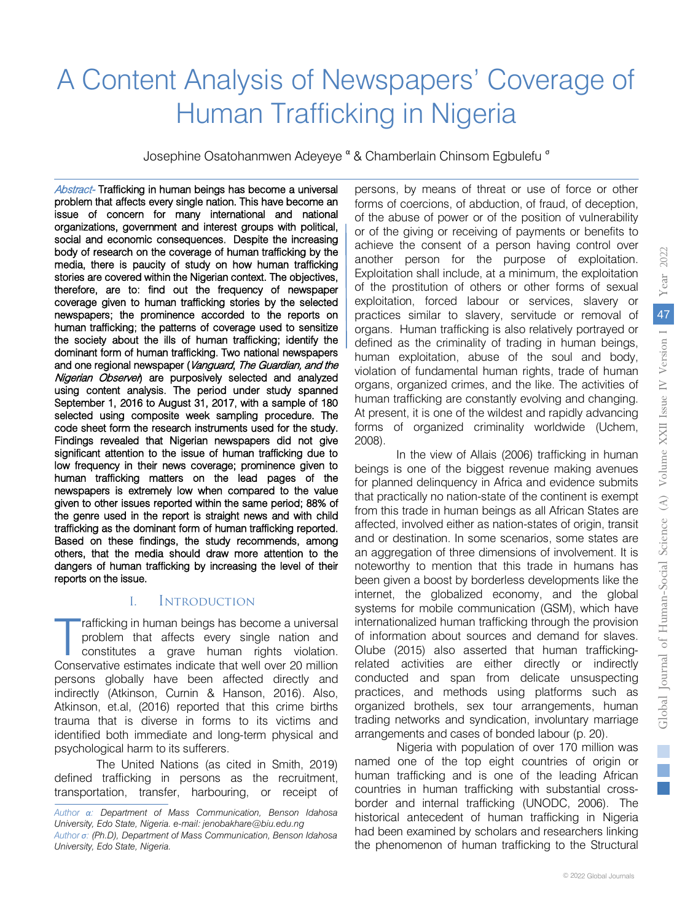# A Content Analysis of Newspapers' Coverage of Human Trafficking in Nigeria

Josephine Osatohanmwen Adeyeye <sup>α</sup> & Chamberlain Chinsom Egbulefu<sup>σ</sup>

Abstract- Trafficking in human beings has become a universal problem that affects every single nation. This have become an issue of concern for many international and national body of recedent of the coverage of human trafficking by the media, there is paucity of study on how human trafficking organizations, government and interest groups with political, social and economic consequences. Despite the increasing body of research on the coverage of human trafficking by the stories are covered within the Nigerian context. The objectives, therefore, are to: find out the frequency of newspaper the society about the ills of human trafficking; identify the coverage given to human trafficking stories by the selected newspapers; the prominence accorded to the reports on abitimant form of national admonstractive national fibric papers.<br>and one regional newspaper (Vanguard, The Guardian, and the human trafficking; the patterns of coverage used to sensitize dominant form of human trafficking. Two national newspapers Nigerian Observer) are purposively selected and analyzed colocide doing componed mode camping procedure. The code sheet form the research instruments used for the study. using content analysis. The period under study spanned September 1, 2016 to August 31, 2017, with a sample of 180 selected using composite week sampling procedure. The Findings revealed that Nigerian newspapers did not give significant attention to the issue of human trafficking due to low frequency in their news coverage; prominence given to human trafficking matters on the lead pages of the newspapers is extremely low when compared to the value given to other issues reported within the same period; 88% of the genre used in the report is straight news and with child dangers of human trafficking by increasing the level of their trafficking as the dominant form of human trafficking reported. Based on these findings, the study recommends, among others, that the media should draw more attention to the reports on the issue.

#### I. Introduction

rafficking in human beings has become a universal problem that affects every single nation and constitutes a grave human rights violation. rafficking in human beings has become a universal<br>problem that affects every single nation and<br>constitutes a grave human rights violation.<br>Conservative estimates indicate that well over 20 million persons globally have been affected directly and indirectly (Atkinson, Curnin & Hanson, 2016). Also, Atkinson, et.al, (2016) reported that this crime births trauma that is diverse in forms to its victims and identified both immediate and long-term physical and psychological harm to its sufferers.

The United Nations (as cited in Smith, 2019) defined trafficking in persons as the recruitment, transportation, transfer, harbouring, or receipt of

persons, by means of threat or use of force or other forms of coercions, of abduction, of fraud, of deception, of the abuse of power or of the position of vulnerability or of the giving or receiving of payments or benefits to achieve the consent of a person having control over another person for the purpose of exploitation. Exploitation shall include, at a minimum, the exploitation of the prostitution of others or other forms of sexual exploitation, forced labour or services, slavery or practices similar to slavery, servitude or removal of organs. Human trafficking is also relatively portrayed or defined as the criminality of trading in human beings, human exploitation, abuse of the soul and body, violation of fundamental human rights, trade of human organs, organized crimes, and the like. The activities of human trafficking are constantly evolving and changing. At present, it is one of the wildest and rapidly advancing forms of organized criminality worldwide (Uchem, 2008).

In the view of Allais (2006) trafficking in human beings is one of the biggest revenue making avenues for planned delinquency in Africa and evidence submits that practically no nation-state of the continent is exempt from this trade in human beings as all African States are affected, involved either as nation-states of origin, transit and or destination. In some scenarios, some states are an aggregation of three dimensions of involvement. It is noteworthy to mention that this trade in humans has been given a boost by borderless developments like the internet, the globalized economy, and the global systems for mobile communication (GSM), which have internationalized human trafficking through the provision of information about sources and demand for slaves. Olube (2015) also asserted that human traffickingrelated activities are either directly or indirectly conducted and span from delicate unsuspecting practices, and methods using platforms such as organized brothels, sex tour arrangements, human trading networks and syndication, involuntary marriage arrangements and cases of bonded labour (p. 20).

Nigeria with population of over 170 million was named one of the top eight countries of origin or human trafficking and is one of the leading African countries in human trafficking with substantial crossborder and internal trafficking (UNODC, 2006). The historical antecedent of human trafficking in Nigeria had been examined by scholars and researchers linking the phenomenon of human trafficking to the Structural

*Author α: Department of Mass Communication, Benson Idahosa University, Edo State, Nigeria. e-mail: jenobakhare@biu.edu.ng Author σ: (Ph.D), Department of Mass Communication, Benson Idahosa University, Edo State, Nigeria.*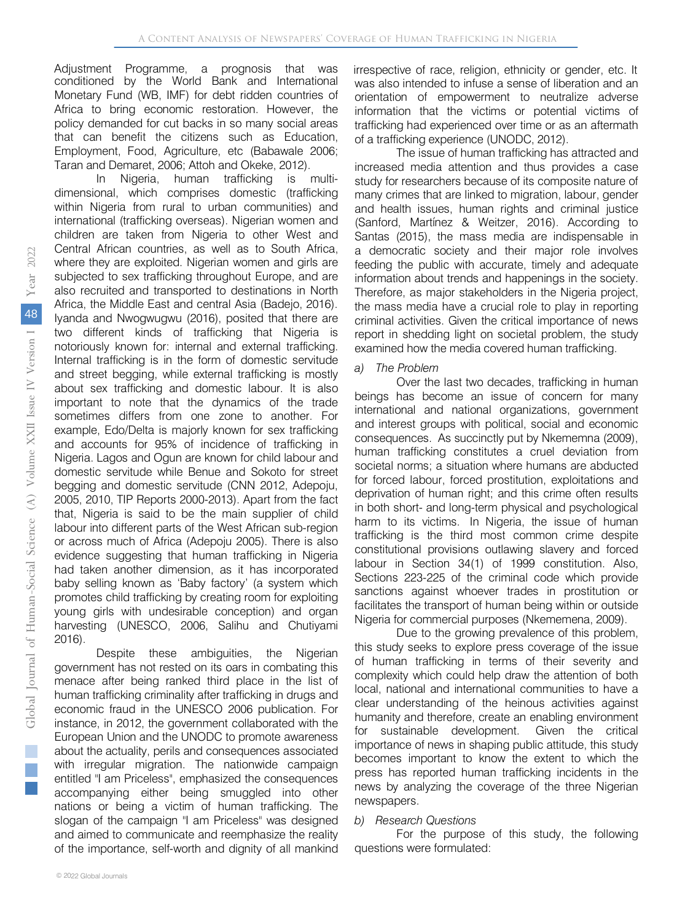conditioned by the World Bank and International Monetary Fund (WB, IMF) for debt ridden countries of Africa to bring economic restoration. However, the policy demanded for cut backs in so many social areas that can benefit the citizens such as Education, Employment, Food, Agriculture, etc (Babawale 2006; Taran and Demaret, 2006; Attoh and Okeke, 2012). Adjustment Programme, a prognosis that was

In Nigeria, human trafficking is multidimensional, which comprises domestic (trafficking within Nigeria from rural to urban communities) and international (trafficking overseas). Nigerian women and children are taken from Nigeria to other West and Central African countries, as well as to South Africa, where they are exploited. Nigerian women and girls are subjected to sex trafficking throughout Europe, and are also recruited and transported to destinations in North Africa, the Middle East and central Asia (Badejo, 2016). Iyanda and Nwogwugwu (2016), posited that there are two different kinds of trafficking that Nigeria is notoriously known for: internal and external trafficking. Internal trafficking is in the form of domestic servitude and street begging, while external trafficking is mostly about sex trafficking and domestic labour. It is also important to note that the dynamics of the trade sometimes differs from one zone to another. For example, Edo/Delta is majorly known for sex trafficking and accounts for 95% of incidence of trafficking in Nigeria. Lagos and Ogun are known for child labour and domestic servitude while Benue and Sokoto for street begging and domestic servitude (CNN 2012, Adepoju, 2005, 2010, TIP Reports 2000-2013). Apart from the fact that, Nigeria is said to be the main supplier of child labour into different parts of the West African sub-region or across much of Africa (Adepoju 2005). There is also evidence suggesting that human trafficking in Nigeria had taken another dimension, as it has incorporated baby selling known as 'Baby factory' (a system which promotes child trafficking by creating room for exploiting young girls with undesirable conception) and organ harvesting (UNESCO, 2006, Salihu and Chutiyami 2016).

Despite these ambiguities, the Nigerian government has not rested on its oars in combating this menace after being ranked third place in the list of human trafficking criminality after trafficking in drugs and economic fraud in the UNESCO 2006 publication. For instance, in 2012, the government collaborated with the European Union and the UNODC to promote awareness about the actuality, perils and consequences associated with irregular migration. The nationwide campaign entitled "I am Priceless", emphasized the consequences accompanying either being smuggled into other nations or being a victim of human trafficking. The slogan of the campaign "I am Priceless" was designed and aimed to communicate and reemphasize the reality of the importance, self-worth and dignity of all mankind

irrespective of race, religion, ethnicity or gender, etc. It was also intended to infuse a sense of liberation and an orientation of empowerment to neutralize adverse information that the victims or potential victims of trafficking had experienced over time or as an aftermath of a trafficking experience (UNODC, 2012).

The issue of human trafficking has attracted and increased media attention and thus provides a case study for researchers because of its composite nature of many crimes that are linked to migration, labour, gender and health issues, human rights and criminal justice (Sanford, Martínez & Weitzer, 2016). According to Santas (2015), the mass media are indispensable in a democratic society and their major role involves feeding the public with accurate, timely and adequate information about trends and happenings in the society. Therefore, as major stakeholders in the Nigeria project, the mass media have a crucial role to play in reporting criminal activities. Given the critical importance of news report in shedding light on societal problem, the study examined how the media covered human trafficking.

#### *a) The Problem*

Over the last two decades, trafficking in human beings has become an issue of concern for many international and national organizations, government and interest groups with political, social and economic consequences. As succinctly put by Nkememna (2009), human trafficking constitutes a cruel deviation from societal norms; a situation where humans are abducted for forced labour, forced prostitution, exploitations and deprivation of human right; and this crime often results in both short- and long-term physical and psychological harm to its victims. In Nigeria, the issue of human trafficking is the third most common crime despite constitutional provisions outlawing slavery and forced labour in Section 34(1) of 1999 constitution. Also, Sections 223-225 of the criminal code which provide sanctions against whoever trades in prostitution or facilitates the transport of human being within or outside Nigeria for commercial purposes (Nkememena, 2009).

Due to the growing prevalence of this problem, this study seeks to explore press coverage of the issue of human trafficking in terms of their severity and complexity which could help draw the attention of both local, national and international communities to have a clear understanding of the heinous activities against humanity and therefore, create an enabling environment for sustainable development. Given the critical importance of news in shaping public attitude, this study becomes important to know the extent to which the press has reported human trafficking incidents in the news by analyzing the coverage of the three Nigerian newspapers.

#### *b) Research Questions*

For the purpose of this study, the following questions were formulated: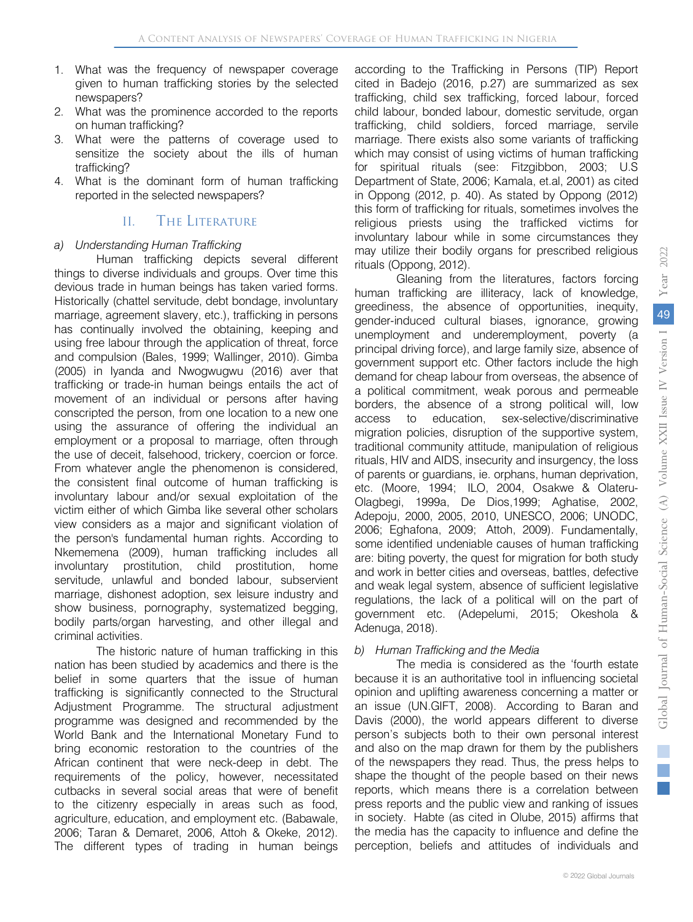- 1. What was the frequency of newspaper coverage given to human trafficking stories by the selected newspapers?
- 2. What was the prominence accorded to the reports on human trafficking?
- 3. What were the patterns of coverage used to sensitize the society about the ills of human trafficking?
- 4. What is the dominant form of human trafficking reported in the selected newspapers?

# II. The Literature

#### *a) Understanding Human Trafficking*

Human trafficking depicts several different things to diverse individuals and groups. Over time this devious trade in human beings has taken varied forms. Historically (chattel servitude, debt bondage, involuntary marriage, agreement slavery, etc.), trafficking in persons has continually involved the obtaining, keeping and using free labour through the application of threat, force and compulsion (Bales, 1999; Wallinger, 2010). Gimba (2005) in Iyanda and Nwogwugwu (2016) aver that trafficking or trade-in human beings entails the act of movement of an individual or persons after having conscripted the person, from one location to a new one using the assurance of offering the individual an employment or a proposal to marriage, often through the use of deceit, falsehood, trickery, coercion or force. From whatever angle the phenomenon is considered, the consistent final outcome of human trafficking is involuntary labour and/or sexual exploitation of the victim either of which Gimba like several other scholars view considers as a major and significant violation of the person's fundamental human rights. According to Nkememena (2009), human trafficking includes all involuntary prostitution, child prostitution, home servitude, unlawful and bonded labour, subservient marriage, dishonest adoption, sex leisure industry and show business, pornography, systematized begging, bodily parts/organ harvesting, and other illegal and criminal activities.

The historic nature of human trafficking in this nation has been studied by academics and there is the belief in some quarters that the issue of human trafficking is significantly connected to the Structural Adjustment Programme. The structural adjustment programme was designed and recommended by the World Bank and the International Monetary Fund to bring economic restoration to the countries of the African continent that were neck-deep in debt. The requirements of the policy, however, necessitated cutbacks in several social areas that were of benefit to the citizenry especially in areas such as food, agriculture, education, and employment etc. (Babawale, 2006; Taran & Demaret, 2006, Attoh & Okeke, 2012). The different types of trading in human beings

according to the Trafficking in Persons (TIP) Report cited in Badejo (2016, p.27) are summarized as sex trafficking, child sex trafficking, forced labour, forced child labour, bonded labour, domestic servitude, organ trafficking, child soldiers, forced marriage, servile marriage. There exists also some variants of trafficking which may consist of using victims of human trafficking for spiritual rituals (see: Fitzgibbon, 2003; U.S Department of State, 2006; Kamala, et.al, 2001) as cited in Oppong (2012, p. 40). As stated by Oppong (2012) this form of trafficking for rituals, sometimes involves the religious priests using the trafficked victims for involuntary labour while in some circumstances they may utilize their bodily organs for prescribed religious rituals (Oppong, 2012).

Gleaning from the literatures, factors forcing human trafficking are illiteracy, lack of knowledge, greediness, the absence of opportunities, inequity, gender-induced cultural biases, ignorance, growing unemployment and underemployment, poverty (a principal driving force), and large family size, absence of government support etc. Other factors include the high demand for cheap labour from overseas, the absence of a political commitment, weak porous and permeable borders, the absence of a strong political will, low access to education, sex-selective/discriminative migration policies, disruption of the supportive system, traditional community attitude, manipulation of religious rituals, HIV and AIDS, insecurity and insurgency, the loss of parents or guardians, ie. orphans, human deprivation, etc. (Moore, 1994; ILO, 2004, Osakwe & Olateru-Olagbegi, 1999a, De Dios,1999; Aghatise, 2002, Adepoju, 2000, 2005, 2010, UNESCO, 2006; UNODC, 2006; Eghafona, 2009; Attoh, 2009). Fundamentally, some identified undeniable causes of human trafficking are: biting poverty, the quest for migration for both study and work in better cities and overseas, battles, defective and weak legal system, absence of sufficient legislative regulations, the lack of a political will on the part of government etc. (Adepelumi, 2015; Okeshola & Adenuga, 2018).

#### *b) Human Trafficking and the Media*

The media is considered as the 'fourth estate because it is an authoritative tool in influencing societal opinion and uplifting awareness concerning a matter or an issue (UN.GIFT, 2008). According to Baran and Davis (2000), the world appears different to diverse person's subjects both to their own personal interest and also on the map drawn for them by the publishers of the newspapers they read. Thus, the press helps to shape the thought of the people based on their news reports, which means there is a correlation between press reports and the public view and ranking of issues in society. Habte (as cited in Olube, 2015) affirms that the media has the capacity to influence and define the perception, beliefs and attitudes of individuals and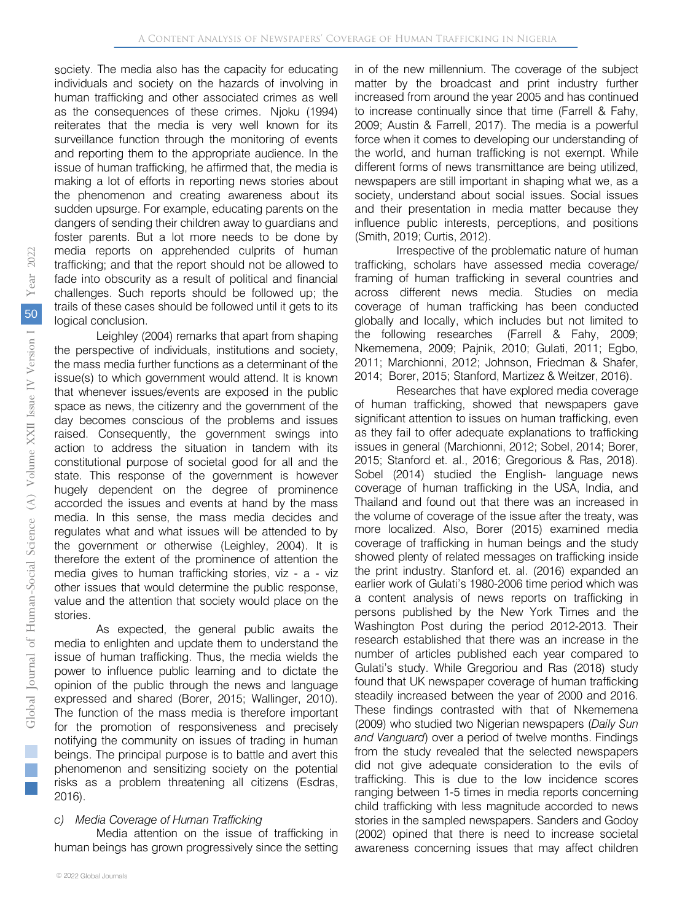society. The media also has the capacity for educating individuals and society on the hazards of involving in human trafficking and other associated crimes as well as the consequences of these crimes. Njoku (1994) reiterates that the media is very well known for its surveillance function through the monitoring of events and reporting them to the appropriate audience. In the issue of human trafficking, he affirmed that, the media is making a lot of efforts in reporting news stories about the phenomenon and creating awareness about its sudden upsurge. For example, educating parents on the dangers of sending their children away to guardians and foster parents. But a lot more needs to be done by media reports on apprehended culprits of human trafficking; and that the report should not be allowed to fade into obscurity as a result of political and financial challenges. Such reports should be followed up; the trails of these cases should be followed until it gets to its logical conclusion.

Leighley (2004) remarks that apart from shaping the perspective of individuals, institutions and society, the mass media further functions as a determinant of the issue(s) to which government would attend. It is known that whenever issues/events are exposed in the public space as news, the citizenry and the government of the day becomes conscious of the problems and issues raised. Consequently, the government swings into action to address the situation in tandem with its constitutional purpose of societal good for all and the state. This response of the government is however hugely dependent on the degree of prominence accorded the issues and events at hand by the mass media. In this sense, the mass media decides and regulates what and what issues will be attended to by the government or otherwise (Leighley, 2004). It is therefore the extent of the prominence of attention the media gives to human trafficking stories, viz - a - viz other issues that would determine the public response, value and the attention that society would place on the stories.

As expected, the general public awaits the media to enlighten and update them to understand the issue of human trafficking. Thus, the media wields the power to influence public learning and to dictate the opinion of the public through the news and language expressed and shared (Borer, 2015; Wallinger, 2010). The function of the mass media is therefore important for the promotion of responsiveness and precisely notifying the community on issues of trading in human beings. The principal purpose is to battle and avert this phenomenon and sensitizing society on the potential risks as a problem threatening all citizens (Esdras, 2016).

#### *c) Media Coverage of Human Trafficking*

Media attention on the issue of trafficking in human beings has grown progressively since the setting in of the new millennium. The coverage of the subject matter by the broadcast and print industry further increased from around the year 2005 and has continued to increase continually since that time (Farrell & Fahy, 2009; Austin & Farrell, 2017). The media is a powerful force when it comes to developing our understanding of the world, and human trafficking is not exempt. While different forms of news transmittance are being utilized, newspapers are still important in shaping what we, as a society, understand about social issues. Social issues and their presentation in media matter because they influence public interests, perceptions, and positions (Smith, 2019; Curtis, 2012).

Irrespective of the problematic nature of human trafficking, scholars have assessed media coverage/ framing of human trafficking in several countries and across different news media. Studies on media coverage of human trafficking has been conducted globally and locally, which includes but not limited to the following researches (Farrell & Fahy, 2009; Nkememena, 2009; Pajnik, 2010; Gulati, 2011; Egbo, 2011; Marchionni, 2012; Johnson, Friedman & Shafer, 2014; Borer, 2015; Stanford, Martizez & Weitzer, 2016).

Researches that have explored media coverage of human trafficking, showed that newspapers gave significant attention to issues on human trafficking, even as they fail to offer adequate explanations to trafficking issues in general (Marchionni, 2012; Sobel, 2014; Borer, 2015; Stanford et. al., 2016; Gregorious & Ras, 2018). Sobel (2014) studied the English- language news coverage of human trafficking in the USA, India, and Thailand and found out that there was an increased in the volume of coverage of the issue after the treaty, was more localized. Also, Borer (2015) examined media coverage of trafficking in human beings and the study showed plenty of related messages on trafficking inside the print industry. Stanford et. al. (2016) expanded an earlier work of Gulati's 1980-2006 time period which was a content analysis of news reports on trafficking in persons published by the New York Times and the Washington Post during the period 2012-2013. Their research established that there was an increase in the number of articles published each year compared to Gulati's study. While Gregoriou and Ras (2018) study found that UK newspaper coverage of human trafficking steadily increased between the year of 2000 and 2016. These findings contrasted with that of Nkememena (2009) who studied two Nigerian newspapers (*Daily Sun and Vanguard*) over a period of twelve months. Findings from the study revealed that the selected newspapers did not give adequate consideration to the evils of trafficking. This is due to the low incidence scores ranging between 1-5 times in media reports concerning child trafficking with less magnitude accorded to news stories in the sampled newspapers. Sanders and Godoy (2002) opined that there is need to increase societal awareness concerning issues that may affect children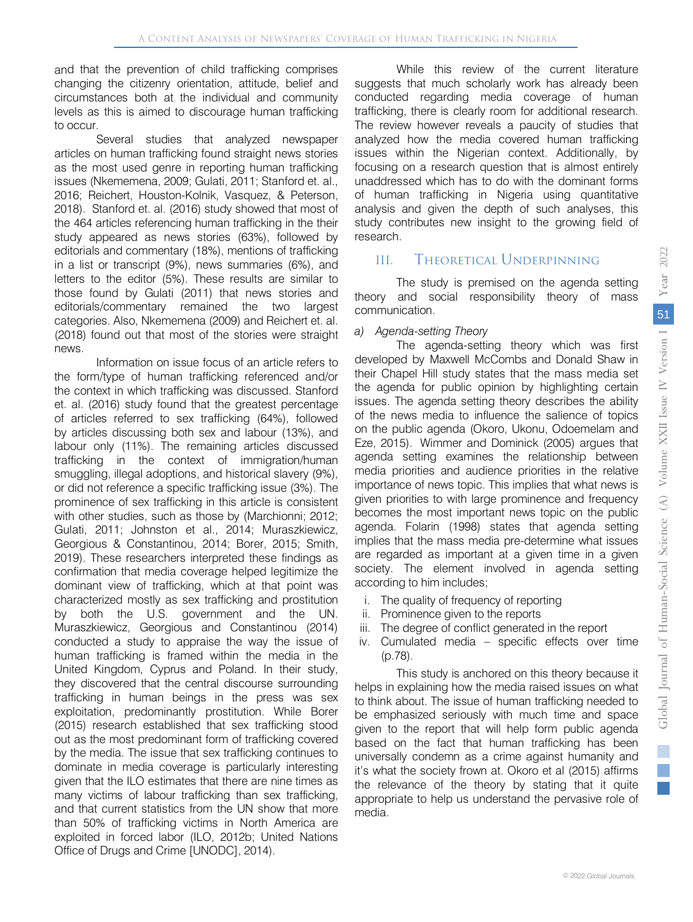and that the prevention of child trafficking comprises changing the citizenry orientation, attitude, belief and circumstances both at the individual and community levels as this is aimed to discourage human trafficking to occur.

Several studies that analyzed newspaper articles on human trafficking found straight news stories as the most used genre in reporting human trafficking issues (Nkememena, 2009; Gulati, 2011; Stanford et. al., 2016; Reichert, Houston-Kolnik, Vasquez, & Peterson, 2018). Stanford et. al. (2016) study showed that most of the 464 articles referencing human trafficking in the their study appeared as news stories (63%), followed by editorials and commentary (18%), mentions of trafficking in a list or transcript (9%), news summaries (6%), and letters to the editor (5%). These results are similar to those found by Gulati (2011) that news stories and editorials/commentary remained the two largest categories. Also, Nkememena (2009) and Reichert et. al. (2018) found out that most of the stories were straight news.

Information on issue focus of an article refers to the form/type of human trafficking referenced and/or the context in which trafficking was discussed. Stanford et. al. (2016) study found that the greatest percentage of articles referred to sex trafficking (64%), followed by articles discussing both sex and labour (13%), and labour only (11%). The remaining articles discussed trafficking in the context of immigration/human smuggling, illegal adoptions, and historical slavery (9%), or did not reference a specific trafficking issue (3%). The prominence of sex trafficking in this article is consistent with other studies, such as those by (Marchionni; 2012; Gulati, 2011; Johnston et al., 2014; Muraszkiewicz, Georgious & Constantinou, 2014; Borer, 2015; Smith, 2019). These researchers interpreted these findings as confirmation that media coverage helped legitimize the dominant view of trafficking, which at that point was characterized mostly as sex trafficking and prostitution by both the U.S. government and the UN. Muraszkiewicz, Georgious and Constantinou (2014) conducted a study to appraise the way the issue of human trafficking is framed within the media in the United Kingdom, Cyprus and Poland. In their study, they discovered that the central discourse surrounding trafficking in human beings in the press was sex exploitation, predominantly prostitution. While Borer (2015) research established that sex trafficking stood out as the most predominant form of trafficking covered by the media. The issue that sex trafficking continues to dominate in media coverage is particularly interesting given that the ILO estimates that there are nine times as many victims of labour trafficking than sex trafficking, and that current statistics from the UN show that more than 50% of trafficking victims in North America are exploited in forced labor (ILO, 2012b; United Nations Office of Drugs and Crime [UNODC], 2014).

While this review of the current literature suggests that much scholarly work has already been conducted regarding media coverage of human trafficking, there is clearly room for additional research. The review however reveals a paucity of studies that analyzed how the media covered human trafficking issues within the Nigerian context. Additionally, by focusing on a research question that is almost entirely unaddressed which has to do with the dominant forms of human trafficking in Nigeria using quantitative analysis and given the depth of such analyses, this study contributes new insight to the growing field of research.

## III. Theoretical Underpinning

The study is premised on the agenda setting theory and social responsibility theory of mass communication.

#### *a) Agenda-setting Theory*

The agenda-setting theory which was first developed by Maxwell McCombs and Donald Shaw in their Chapel Hill study states that the mass media set the agenda for public opinion by highlighting certain issues. The agenda setting theory describes the ability of the news media to influence the salience of topics on the public agenda (Okoro, Ukonu, Odoemelam and Eze, 2015). Wimmer and Dominick (2005) argues that agenda setting examines the relationship between media priorities and audience priorities in the relative importance of news topic. This implies that what news is given priorities to with large prominence and frequency becomes the most important news topic on the public agenda. Folarin (1998) states that agenda setting implies that the mass media pre-determine what issues are regarded as important at a given time in a given society. The element involved in agenda setting according to him includes;

- i. The quality of frequency of reporting
- ii. Prominence given to the reports
- iii. The degree of conflict generated in the report
- iv. Cumulated media specific effects over time (p.78).

This study is anchored on this theory because it helps in explaining how the media raised issues on what to think about. The issue of human trafficking needed to be emphasized seriously with much time and space given to the report that will help form public agenda based on the fact that human trafficking has been universally condemn as a crime against humanity and it's what the society frown at. Okoro et al (2015) affirms the relevance of the theory by stating that it quite appropriate to help us understand the pervasive role of media.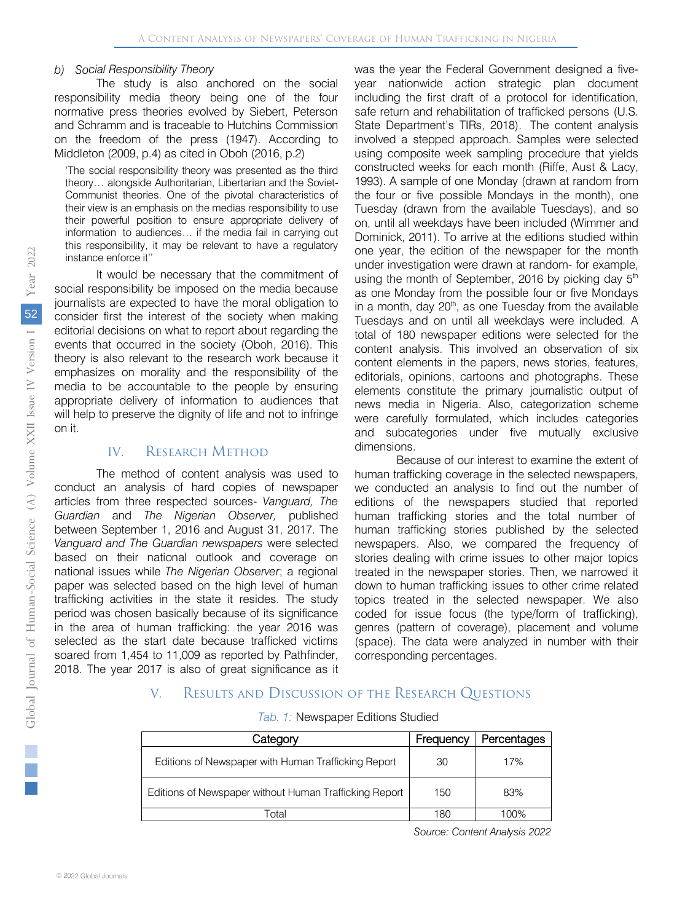#### *b) Social Responsibility Theory*

The study is also anchored on the social responsibility media theory being one of the four normative press theories evolved by Siebert, Peterson and Schramm and is traceable to Hutchins Commission on the freedom of the press (1947). According to Middleton (2009, p.4) as cited in Oboh (2016, p.2)

'The social responsibility theory was presented as the third theory… alongside Authoritarian, Libertarian and the Soviet-Communist theories. One of the pivotal characteristics of their view is an emphasis on the medias responsibility to use their powerful position to ensure appropriate delivery of information to audiences… if the media fail in carrying out this responsibility, it may be relevant to have a regulatory instance enforce it''

It would be necessary that the commitment of social responsibility be imposed on the media because journalists are expected to have the moral obligation to consider first the interest of the society when making editorial decisions on what to report about regarding the events that occurred in the society (Oboh, 2016). This theory is also relevant to the research work because it emphasizes on morality and the responsibility of the media to be accountable to the people by ensuring appropriate delivery of information to audiences that will help to preserve the dignity of life and not to infringe on it.

## IV. RESEARCH METHOD

The method of content analysis was used to conduct an analysis of hard copies of newspaper articles from three respected sources- *Vanguard, The Guardian* and *The Nigerian Observer,* published between September 1, 2016 and August 31, 2017. The *Vanguard and The Guardian newspapers* were selected based on their national outlook and coverage on national issues while *The Nigerian Observer*; a regional paper was selected based on the high level of human trafficking activities in the state it resides. The study period was chosen basically because of its significance in the area of human trafficking: the year 2016 was selected as the start date because trafficked victims soared from 1,454 to 11,009 as reported by Pathfinder, 2018. The year 2017 is also of great significance as it

was the year the Federal Government designed a fiveyear nationwide action strategic plan document including the first draft of a protocol for identification, safe return and rehabilitation of trafficked persons (U.S. State Department's TIRs, 2018). The content analysis involved a stepped approach. Samples were selected using composite week sampling procedure that yields constructed weeks for each month (Riffe, Aust & Lacy, 1993). A sample of one Monday (drawn at random from the four or five possible Mondays in the month), one Tuesday (drawn from the available Tuesdays), and so on, until all weekdays have been included (Wimmer and Dominick, 2011). To arrive at the editions studied within one year, the edition of the newspaper for the month under investigation were drawn at random- for example, using the month of September, 2016 by picking day  $5<sup>th</sup>$ as one Monday from the possible four or five Mondays in a month, day  $20<sup>th</sup>$ , as one Tuesday from the available Tuesdays and on until all weekdays were included. A total of 180 newspaper editions were selected for the content analysis. This involved an observation of six content elements in the papers, news stories, features, editorials, opinions, cartoons and photographs. These elements constitute the primary journalistic output of news media in Nigeria. Also, categorization scheme were carefully formulated, which includes categories and subcategories under five mutually exclusive dimensions.

Because of our interest to examine the extent of human trafficking coverage in the selected newspapers, we conducted an analysis to find out the number of editions of the newspapers studied that reported human trafficking stories and the total number of human trafficking stories published by the selected newspapers. Also, we compared the frequency of stories dealing with crime issues to other major topics treated in the newspaper stories. Then, we narrowed it down to human trafficking issues to other crime related topics treated in the selected newspaper. We also coded for issue focus (the type/form of trafficking), genres (pattern of coverage), placement and volume (space). The data were analyzed in number with their corresponding percentages.

# V. Results and Discussion of the Research Questions

|  |  | Tab. 1: Newspaper Editions Studied |  |  |
|--|--|------------------------------------|--|--|
|--|--|------------------------------------|--|--|

| Category                                               | Frequency | Percentages |
|--------------------------------------------------------|-----------|-------------|
| Editions of Newspaper with Human Trafficking Report    | 30        | 17%         |
| Editions of Newspaper without Human Trafficking Report | 150       | 83%         |
| ั∩†ล                                                   | 180       | 100%        |

*So urce: Content Analysis 2022*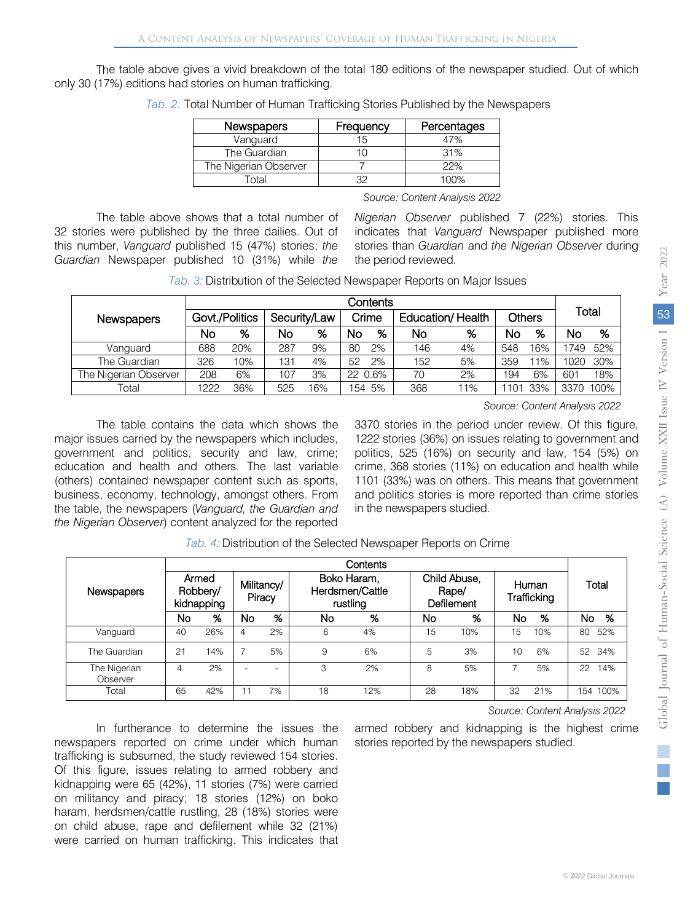The table above gives a vivid breakdown of the total 180 editions of the newspaper studied. Out of which only 30 (17%) editions had stories on human trafficking.

| <b>Newspapers</b>     | Frequency | Percentages |
|-----------------------|-----------|-------------|
| Vanguard              |           | 7%          |
| The Guardian          |           | 31%         |
| The Nigerian Observer |           | 22%         |
| -ิ∩†al                |           | 1በበ%        |

*Tab. 2:* Total Number of Human Trafficking Stories Published by the Newspapers

*So urce: Content Analysis 2022*

The table above shows that a total number of 32 stories were published by the three dailies. Out of this number, *Vanguard* published 15 (47%) stories; *the Guardian* Newspaper published 10 (31%) while *the*  *Nigerian Observer* published 7 (22%) stories. This indicates that *Vanguard* Newspaper published more stories than *Guardian* and *the Nigerian Observer* during the period reviewed.

*Tab. 3:* Distribution of the Selected Newspaper Reports on Major Issues

| Newspapers            | Govt./Politics |     | Security/Law |    | Crime   |    | Education/Health |    | <b>Others</b> |     | Total |      |
|-----------------------|----------------|-----|--------------|----|---------|----|------------------|----|---------------|-----|-------|------|
|                       | No             | %   | No           | %  | No      | %  | No               | %  | No            | ℅   | No    | %    |
| Vanquard              | 688            | 20% | 287          | 9% | 80      | 2% | 146              | 4% | 548           | 16% | 1749  | 52%  |
| The Guardian          | 326            | 10% | 131          | 4% | 52      | 2% | 152              | 5% | 359           | 11% | 1020  | 30%  |
| The Nigerian Observer | 208            | 6%  | 107          | 3% | 22 0.6% |    | 70               | 2% | 194           | 6%  | 601   | 18%  |
| Гоtal                 | 1222           | 36% | 525          | 6% | 154 5%  |    | 368              | 1% |               | 33% | 3370  | 100% |

*Source: Content Analysis 2022*

The table contains the data which shows the major issues carried by the newspapers which includes, government and politics, security and law, crime; education and health and others. The last variable (others) contained newspaper content such as sports, business, economy, technology, amongst others. From the table, the newspapers (*Vanguard, the Guardian and the Nigerian Observer*) content analyzed for the reported 3370 stories in the period under review. Of this figure, 1222 stories (36%) on issues relating to government and politics, 525 (16%) on security and law, 154 (5%) on crime, 368 stories (11%) on education and health while 1101 (33%) was on others. This means that government and politics stories is more reported than crime stories in the newspapers studied.

|                          |                                 |     |                      |                          |                                            | Contents |                                            |     |                      |     |           |  |
|--------------------------|---------------------------------|-----|----------------------|--------------------------|--------------------------------------------|----------|--------------------------------------------|-----|----------------------|-----|-----------|--|
| Newspapers               | Armed<br>Robbery/<br>kidnapping |     | Militancy/<br>Piracy |                          | Boko Haram,<br>Herdsmen/Cattle<br>rustling |          | Child Abuse,<br>Rape/<br><b>Defilement</b> |     | Human<br>Trafficking |     | Total     |  |
|                          | No                              | %   | No                   | %                        | No                                         | %        | No                                         | %   | No                   | %   | No.<br>%  |  |
| Vanguard                 | 40                              | 26% | 4                    | 2%                       | 6                                          | 4%       | 15                                         | 10% | 15                   | 10% | 52%<br>80 |  |
| The Guardian             | 21                              | 14% | 7                    | 5%                       | 9                                          | 6%       | 5                                          | 3%  | 10                   | 6%  | 52 34%    |  |
| The Nigerian<br>Observer | 4                               | 2%  |                      | $\overline{\phantom{a}}$ | 3                                          | 2%       | 8                                          | 5%  |                      | 5%  | 22<br>14% |  |
| Total                    | 65                              | 42% |                      | 7%                       | 18                                         | 12%      | 28                                         | 18% | 32                   | 21% | 154 100%  |  |

*Tab. 4:* Distribution of the Selected Newspaper Reports on Crime

In furtherance to determine the issues the newspapers reported on crime under which human trafficking is subsumed, the study reviewed 154 stories. Of this figure, issues relating to armed robbery and kidnapping were 65 (42%), 11 stories (7%) were carried on militancy and piracy; 18 stories (12%) on boko haram, herdsmen/cattle rustling, 28 (18%) stories were on child abuse, rape and defilement while 32 (21%) were carried on human trafficking. This indicates that

*Source: Content Analysis 2022*

armed robbery and kidnapping is the highest crime stories reported by the newspapers studied.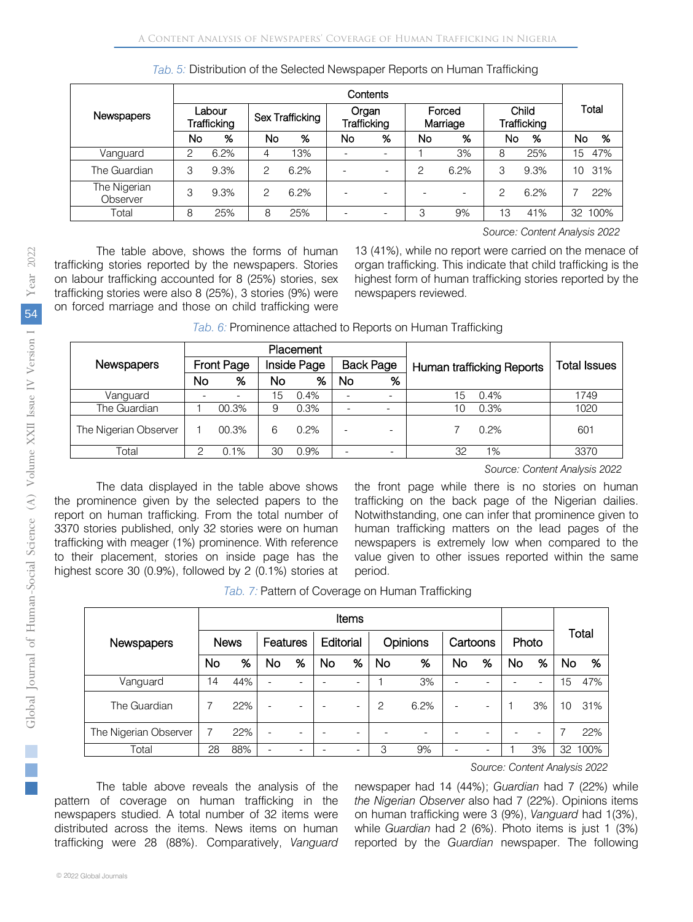| Tab. 5: Distribution of the Selected Newspaper Reports on Human Trafficking |  |
|-----------------------------------------------------------------------------|--|
|                                                                             |  |

|                          | Contents              |      |                 |      |                      |   |                    |                          |                      |      |       |      |
|--------------------------|-----------------------|------|-----------------|------|----------------------|---|--------------------|--------------------------|----------------------|------|-------|------|
| <b>Newspapers</b>        | Labour<br>Trafficking |      | Sex Trafficking |      | Organ<br>Trafficking |   | Forced<br>Marriage |                          | Child<br>Trafficking |      | Total |      |
|                          | No                    | %    | No              | %    | No                   | % | No                 | %                        | No                   | %    | No    | %    |
| Vanguard                 | 2                     | 6.2% | 4               | 13%  |                      |   |                    | 3%                       | 8                    | 25%  | 15    | 47%  |
| The Guardian             | 3                     | 9.3% | 2               | 6.2% |                      |   | 2                  | 6.2%                     | 3                    | 9.3% | 10    | 31%  |
| The Nigerian<br>Observer | 3                     | 9.3% | 2               | 6.2% |                      |   |                    | $\overline{\phantom{0}}$ | 2                    | 6.2% |       | 22%  |
| Total                    | 8                     | 25%  | 8               | 25%  |                      |   | 3                  | 9%                       | 13                   | 41%  | 32    | 100% |

*Source: Content Analysis 2022*

The table above, shows the forms of human trafficking stories reported by the newspapers. Stories on labour trafficking accounted for 8 (25%) stories, sex trafficking stories were also 8 (25%), 3 stories (9%) were on forced marriage and those on child trafficking were

13 (41%), while no report were carried on the menace of organ trafficking. This indicate that child trafficking is the highest form of human trafficking stories reported by the newspapers reviewed.

|                       |                   |       |             | Placement |                  |   |    |                           |              |
|-----------------------|-------------------|-------|-------------|-----------|------------------|---|----|---------------------------|--------------|
| Newspapers            | <b>Front Page</b> |       | Inside Page |           | <b>Back Page</b> |   |    | Human trafficking Reports | Total Issues |
|                       | No                | %     | No          | %         | No               | % |    |                           |              |
| Vanguard              |                   |       | 15          | 0.4%      |                  |   | 15 | 0.4%                      | 1749         |
| The Guardian          |                   | 00.3% | 9           | 0.3%      |                  |   | 10 | 0.3%                      | 1020         |
| The Nigerian Observer |                   | 00.3% | 6           | 0.2%      |                  | - |    | 0.2%                      | 601          |
| Total                 |                   | 0.1%  | 30          | 0.9%      |                  |   | 32 | 1%                        | 3370         |

| Tab. 6: Prominence attached to Reports on Human Trafficking |  |  |
|-------------------------------------------------------------|--|--|
|                                                             |  |  |
|                                                             |  |  |

*Source: Content Analysis 2022*

The data displayed in the table above shows the prominence given by the selected papers to the report on human trafficking. From the total number of 3370 stories published, only 32 stories were on human trafficking with meager (1%) prominence. With reference to their placement, stories on inside page has the highest score 30 (0.9%), followed by 2 (0.1%) stories at the front page while there is no stories on human trafficking on the back page of the Nigerian dailies. Notwithstanding, one can infer that prominence given to human trafficking matters on the lead pages of the newspapers is extremely low when compared to the value given to other issues reported within the same period.

|  | Tab. 7: Pattern of Coverage on Human Trafficking |  |
|--|--------------------------------------------------|--|
|--|--------------------------------------------------|--|

|                       |             | Items |                          |                          |           |                          |                |      |                          |                          |       |                          |       |      |
|-----------------------|-------------|-------|--------------------------|--------------------------|-----------|--------------------------|----------------|------|--------------------------|--------------------------|-------|--------------------------|-------|------|
| Newspapers            | <b>News</b> |       | <b>Features</b>          |                          | Editorial |                          | Opinions       |      | Cartoons                 |                          | Photo |                          | Total |      |
|                       | No          | %     | No                       | %                        | No        | %                        | <b>No</b>      | %    | No                       | %                        | No    | %                        | No    | %    |
| Vanguard              | 14          | 44%   | $\overline{\phantom{a}}$ |                          |           | $\overline{\phantom{0}}$ |                | 3%   |                          | $\overline{\phantom{0}}$ |       | $\overline{\phantom{0}}$ | 5     | 47%  |
| The Guardian          |             | 22%   | $\overline{\phantom{a}}$ | $\overline{\phantom{0}}$ |           | $\overline{\phantom{0}}$ | $\overline{c}$ | 6.2% | $\overline{\phantom{0}}$ |                          |       | 3%                       | 10    | 31%  |
| The Nigerian Observer |             | 22%   | $\overline{\phantom{a}}$ | $\overline{\phantom{0}}$ |           |                          |                |      |                          | $\overline{\phantom{0}}$ |       |                          |       | 22%  |
| Total                 | 28          | 88%   | $\overline{\phantom{a}}$ |                          |           |                          | 3              | 9%   |                          |                          |       | 3%                       | 32    | 100% |

*Source: Content Analysis 2022*

The table above reveals the analysis of the pattern of coverage on human trafficking in the newspapers studied. A total number of 32 items were distributed across the items. News items on human trafficking were 28 (88%). Comparatively, *Vanguard*  newspaper had 14 (44%); *Guardian* had 7 (22%) while *the Nigerian Observer* also had 7 (22%). Opinions items on human trafficking were 3 (9%), *Vanguard* had 1(3%), while *Guardian* had 2 (6%). Photo items is just 1 (3%) reported by the *Guardian* newspaper. The following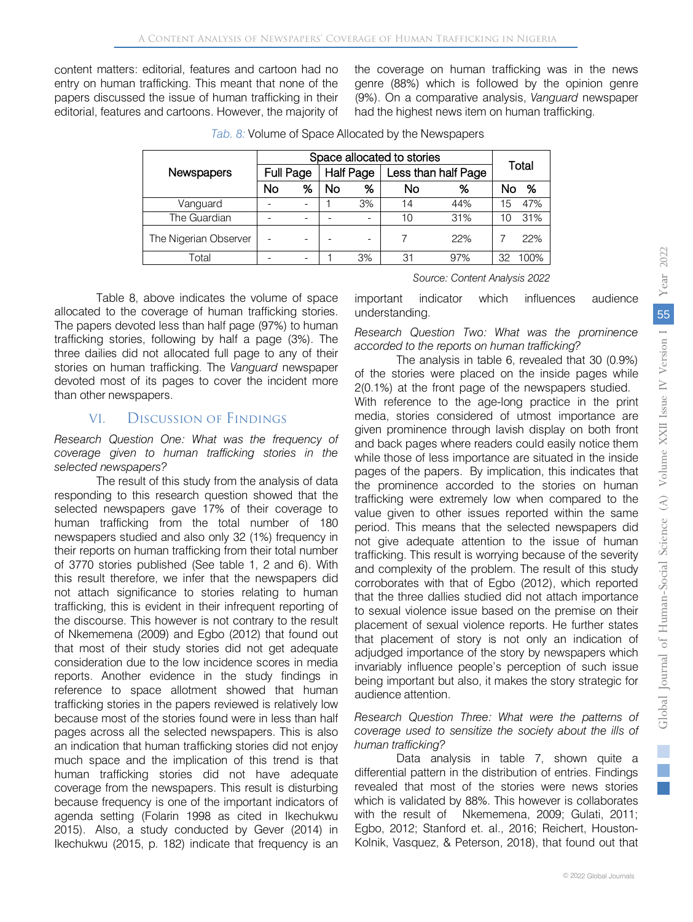content matters: editorial, features and cartoon had no entry on human trafficking. This meant that none of the papers discussed the issue of human trafficking in their editorial, features and cartoons. However, the majority of the coverage on human trafficking was in the news genre (88%) which is followed by the opinion genre (9%). On a comparative analysis, *Vanguard* newspaper had the highest news item on human trafficking.

|                       |           | Space allocated to stories |           |                  |                     |       |    |      |  |  |  |
|-----------------------|-----------|----------------------------|-----------|------------------|---------------------|-------|----|------|--|--|--|
| <b>Newspapers</b>     | Full Page |                            |           | <b>Half Page</b> | Less than half Page | Total |    |      |  |  |  |
|                       | No        | %                          | <b>No</b> | %                | No                  | ℅     | NΟ | %    |  |  |  |
| Vanguard              |           |                            |           | 3%               | 14                  | 44%   | 15 | 47%  |  |  |  |
| The Guardian          |           |                            |           |                  | 10                  | 31%   | 10 | 31%  |  |  |  |
| The Nigerian Observer |           |                            |           |                  |                     | 22%   |    | 22%  |  |  |  |
| Total                 |           |                            |           | 3%               | 31                  | 97%   |    | 100% |  |  |  |

*Tab. 8:* Volume of Space Allocated by the Newspapers

Table 8, above indicates the volume of space allocated to the coverage of human trafficking stories. The papers devoted less than half page (97%) to human trafficking stories, following by half a page (3%). The three dailies did not allocated full page to any of their stories on human trafficking. The *Vanguard* newspaper devoted most of its pages to cover the incident more than other newspapers.

# VI. Discussion of Findings

*Research Question One: What was the frequency of coverage given to human trafficking stories in the selected newspapers?*

The result of this study from the analysis of data responding to this research question showed that the selected newspapers gave 17% of their coverage to human trafficking from the total number of 180 newspapers studied and also only 32 (1%) frequency in their reports on human trafficking from their total number of 3770 stories published (See table 1, 2 and 6). With this result therefore, we infer that the newspapers did not attach significance to stories relating to human trafficking, this is evident in their infrequent reporting of the discourse. This however is not contrary to the result of Nkememena (2009) and Egbo (2012) that found out that most of their study stories did not get adequate consideration due to the low incidence scores in media reports. Another evidence in the study findings in reference to space allotment showed that human trafficking stories in the papers reviewed is relatively low because most of the stories found were in less than half pages across all the selected newspapers. This is also an indication that human trafficking stories did not enjoy much space and the implication of this trend is that human trafficking stories did not have adequate coverage from the newspapers. This result is disturbing because frequency is one of the important indicators of agenda setting (Folarin 1998 as cited in Ikechukwu 2015). Also, a study conducted by Gever (2014) in Ikechukwu (2015, p. 182) indicate that frequency is an

important indicator which influences audience understanding.

*Source: Content Analysis 2022*

*Research Question Two: What was the prominence accorded to the reports on human trafficking?*

The analysis in table 6, revealed that 30 (0.9%) of the stories were placed on the inside pages while 2(0.1%) at the front page of the newspapers studied.

With reference to the age-long practice in the print media, stories considered of utmost importance are given prominence through lavish display on both front and back pages where readers could easily notice them while those of less importance are situated in the inside pages of the papers. By implication, this indicates that the prominence accorded to the stories on human trafficking were extremely low when compared to the value given to other issues reported within the same period. This means that the selected newspapers did not give adequate attention to the issue of human trafficking. This result is worrying because of the severity and complexity of the problem. The result of this study corroborates with that of Egbo (2012), which reported that the three dallies studied did not attach importance to sexual violence issue based on the premise on their placement of sexual violence reports. He further states that placement of story is not only an indication of adjudged importance of the story by newspapers which invariably influence people's perception of such issue being important but also, it makes the story strategic for audience attention.

#### *Research Question Three: What were the patterns of coverage used to sensitize the society about the ills of human trafficking?*

Data analysis in table 7, shown quite a differential pattern in the distribution of entries. Findings revealed that most of the stories were news stories which is validated by 88%. This however is collaborates with the result of Nkememena, 2009; Gulati, 2011; Egbo, 2012; Stanford et. al., 2016; Reichert, Houston-Kolnik, Vasquez, & Peterson, 2018), that found out that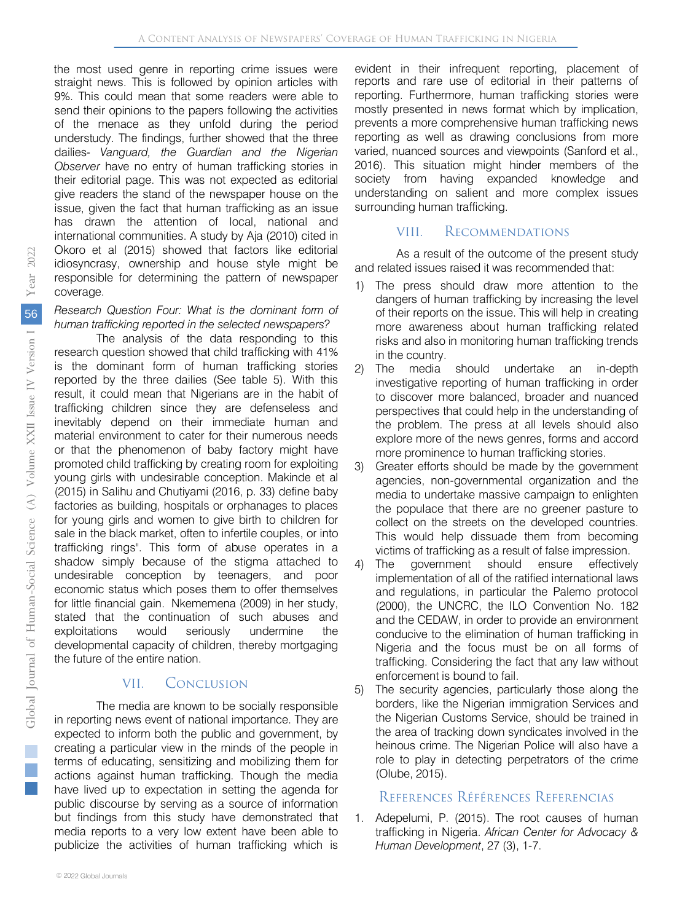straight news. This is followed by opinion articles with 9%. This could mean that some readers were able to send their opinions to the papers following the activities of the menace as they unfold during the period understudy. The findings, further showed that the three dailies- *Vanguard, the Guardian and the Nigerian Observer* have no entry of human trafficking stories in their editorial page. This was not expected as editorial give readers the stand of the newspaper house on the issue, given the fact that human trafficking as an issue has drawn the attention of local, national and international communities. A study by Aja (2010) cited in Okoro et al (2015) showed that factors like editorial idiosyncrasy, ownership and house style might be responsible for determining the pattern of newspaper coverage. the most used genre in reporting crime issues were

#### *Research Question Four: What is the dominant form of human trafficking reported in the selected newspapers?*

The analysis of the data responding to this research question showed that child trafficking with 41% is the dominant form of human trafficking stories reported by the three dailies (See table 5). With this result, it could mean that Nigerians are in the habit of trafficking children since they are defenseless and inevitably depend on their immediate human and material environment to cater for their numerous needs or that the phenomenon of baby factory might have promoted child trafficking by creating room for exploiting young girls with undesirable conception. Makinde et al (2015) in Salihu and Chutiyami (2016, p. 33) define baby factories as building, hospitals or orphanages to places for young girls and women to give birth to children for sale in the black market, often to infertile couples, or into trafficking rings". This form of abuse operates in a shadow simply because of the stigma attached to undesirable conception by teenagers, and poor economic status which poses them to offer themselves for little financial gain. Nkememena (2009) in her study, stated that the continuation of such abuses and exploitations would seriously undermine the developmental capacity of children, thereby mortgaging the future of the entire nation.

# VII. Conclusion

The media are known to be socially responsible in reporting news event of national importance. They are expected to inform both the public and government, by creating a particular view in the minds of the people in terms of educating, sensitizing and mobilizing them for actions against human trafficking. Though the media have lived up to expectation in setting the agenda for public discourse by serving as a source of information but findings from this study have demonstrated that media reports to a very low extent have been able to publicize the activities of human trafficking which is

evident in their infrequent reporting, placement of reports and rare use of editorial in their patterns of reporting. Furthermore, human trafficking stories were mostly presented in news format which by implication, prevents a more comprehensive human trafficking news reporting as well as drawing conclusions from more varied, nuanced sources and viewpoints (Sanford et al., 2016). This situation might hinder members of the society from having expanded knowledge and understanding on salient and more complex issues surrounding human trafficking.

# VIII. Recommendations

As a result of the outcome of the present study and related issues raised it was recommended that:

- 1) The press should draw more attention to the dangers of human trafficking by increasing the level of their reports on the issue. This will help in creating more awareness about human trafficking related risks and also in monitoring human trafficking trends in the country.
- 2) The media should undertake an in-depth investigative reporting of human trafficking in order to discover more balanced, broader and nuanced perspectives that could help in the understanding of the problem. The press at all levels should also explore more of the news genres, forms and accord more prominence to human trafficking stories.
- 3) Greater efforts should be made by the government agencies, non-governmental organization and the media to undertake massive campaign to enlighten the populace that there are no greener pasture to collect on the streets on the developed countries. This would help dissuade them from becoming victims of trafficking as a result of false impression.
- 4) The government should ensure effectively implementation of all of the ratified international laws and regulations, in particular the Palemo protocol (2000), the UNCRC, the ILO Convention No. 182 and the CEDAW, in order to provide an environment conducive to the elimination of human trafficking in Nigeria and the focus must be on all forms of trafficking. Considering the fact that any law without enforcement is bound to fail.
- 5) The security agencies, particularly those along the borders, like the Nigerian immigration Services and the Nigerian Customs Service, should be trained in the area of tracking down syndicates involved in the heinous crime. The Nigerian Police will also have a role to play in detecting perpetrators of the crime (Olube, 2015).

# References Références Referencias

1. Adepelumi, P. (2015). The root causes of human trafficking in Nigeria. *African Center for Advocacy & Human Development*, 27 (3), 1-7.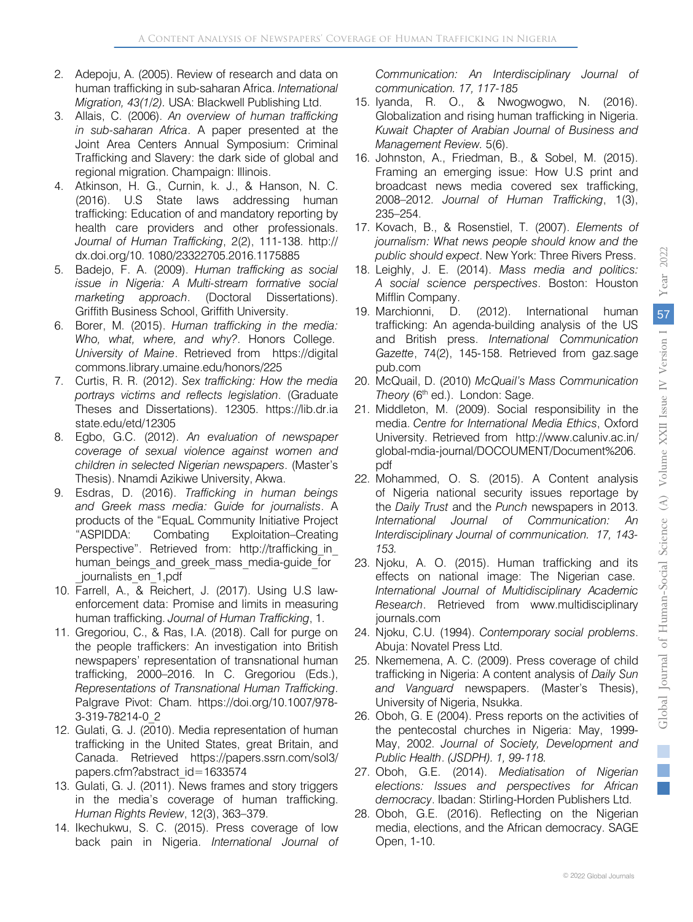- 2. Adepoju, A. (2005). Review of research and data on human trafficking in sub-saharan Africa. *International Migration, 43(1/2).* USA: Blackwell Publishing Ltd.
- 3. Allais, C. (2006). *An overview of human trafficking in sub-saharan Africa*. A paper presented at the Joint Area Centers Annual Symposium: Criminal Trafficking and Slavery: the dark side of global and regional migration. Champaign: Illinois.
- 4. Atkinson, H. G., Curnin, k. J., & Hanson, N. C. (2016). U.S State laws addressing human trafficking: Education of and mandatory reporting by health care providers and other professionals. *Journal of Human Trafficking*, 2(2), 111-138. http:// dx.doi.org/10. 1080/23322705.2016.1175885
- 5. Badejo, F. A. (2009). *Human trafficking as social issue in Nigeria: A Multi-stream formative social marketing approach*. (Doctoral Dissertations). Griffith Business School, Griffith University.
- 6. Borer, M. (2015). *Human trafficking in the media: Who, what, where, and why?*. Honors College. *University of Maine*. Retrieved from https://digital commons.library.umaine.edu/honors/225
- 7. Curtis, R. R. (2012). *Sex trafficking: How the media portrays victims and reflects legislation*. (Graduate Theses and Dissertations). 12305. https://lib.dr.ia state.edu/etd/12305
- 8. Egbo, G.C. (2012). *An evaluation of newspaper coverage of sexual violence against women and children in selected Nigerian newspapers*. (Master's Thesis). Nnamdi Azikiwe University, Akwa.
- 9. Esdras, D. (2016). *Trafficking in human beings and Greek mass media: Guide for journalists*. A products of the "EquaL Community Initiative Project "ASPIDDA: Combating Exploitation–Creating Perspective". Retrieved from: http://trafficking\_in\_ human beings and greek mass media-guide for journalists\_en\_1,pdf
- 10. Farrell, A., & Reichert, J. (2017). Using U.S lawenforcement data: Promise and limits in measuring human trafficking. *Journal of Human Trafficking*, 1.
- 11. Gregoriou, C., & Ras, I.A. (2018). Call for purge on the people traffickers: An investigation into British newspapers' representation of transnational human trafficking, 2000–2016. In C. Gregoriou (Eds.), *Representations of Transnational Human Trafficking*. Palgrave Pivot: Cham. [https://doi.org/10.1007/978-](https://doi.org/10.1007/978-3-319-78214-0_2) [3-319-78214-0\\_2](https://doi.org/10.1007/978-3-319-78214-0_2)
- 12. Gulati, G. J. (2010). Media representation of human trafficking in the United States, great Britain, and Canada. Retrieved https://papers.ssrn.com/sol3/ papers.cfm?abstract\_id=1633574
- 13. Gulati, G. J. (2011). News frames and story triggers in the media's coverage of human trafficking. *Human Rights Review*, 12(3), 363–379.
- 14. Ikechukwu, S. C. (2015). Press coverage of low back pain in Nigeria. *International Journal of*

*Communication: An Interdisciplinary Journal of communication. 17, 117-185*

- 15. Iyanda, R. O., & Nwogwogwo, N. (2016). Globalization and rising human trafficking in Nigeria. *Kuwait Chapter of Arabian Journal of Business and Management Review.* 5(6).
- 16. Johnston, A., Friedman, B., & Sobel, M. (2015). Framing an emerging issue: How U.S print and broadcast news media covered sex trafficking, 2008–2012. *Journal of Human Trafficking*, 1(3), 235–254.
- 17. Kovach, B., & Rosenstiel, T. (2007). *Elements of journalism: What news people should know and the public should expect*. New York: Three Rivers Press.
- 18. Leighly, J. E. (2014). *Mass media and politics: A social science perspectives*. Boston: Houston Mifflin Company.
- 19. Marchionni, D. (2012). International human trafficking: An agenda-building analysis of the US and British press. *International Communication Gazette*, 74(2), 145-158. Retrieved from gaz.sage pub.com
- 20. McQuail, D. (2010) *McQuail's Mass Communication Theory* (6<sup>th</sup> ed.). London: Sage.
- 21. Middleton, M. (2009). Social responsibility in the media. *Centre for International Media Ethics*, Oxford University. Retrieved from http://www.caluniv.ac.in/ global-mdia-journal/DOCOUMENT/Document%206. pdf
- 22. Mohammed, O. S. (2015). A Content analysis of Nigeria national security issues reportage by the *Daily Trust* and the *Punch* newspapers in 2013. *International Journal of Communication: An Interdisciplinary Journal of communication. 17, 143- 153.*
- 23. Njoku, A. O. (2015). Human trafficking and its effects on national image: The Nigerian case. *International Journal of Multidisciplinary Academic Research*. Retrieved from www.multidisciplinary journals.com
- 24. Njoku, C.U. (1994). *Contemporary social problems*. Abuja: Novatel Press Ltd.
- 25. Nkememena, A. C. (2009). Press coverage of child trafficking in Nigeria: A content analysis of *Daily Sun and Vanguard* newspapers. (Master's Thesis), University of Nigeria, Nsukka.
- 26. Oboh, G. E (2004). Press reports on the activities of the pentecostal churches in Nigeria: May, 1999- May, 2002. *Journal of Society, Development and Public Health*. *(JSDPH). 1, 99-118.*
- 27. Oboh, G.E. (2014). *Mediatisation of Nigerian elections: Issues and perspectives for African democracy*. Ibadan: Stirling-Horden Publishers Ltd.
- 28. Oboh, G.E. (2016). Reflecting on the Nigerian media, elections, and the African democracy. SAGE Open, 1-10.